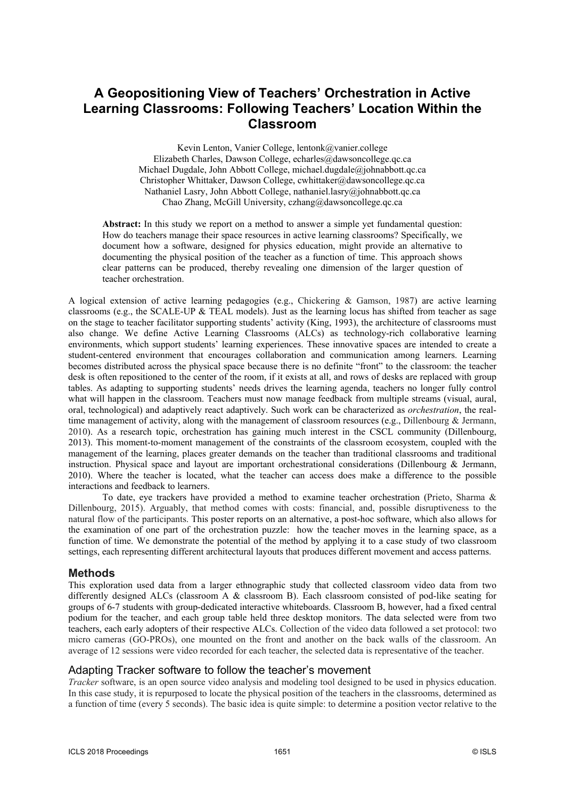# **A Geopositioning View of Teachers' Orchestration in Active Learning Classrooms: Following Teachers' Location Within the Classroom**

Kevin Lenton, Vanier College, lentonk@vanier.college Elizabeth Charles, Dawson College, echarles@dawsoncollege.qc.ca Michael Dugdale, John Abbott College, [michael.dugdale@johnabbott.qc.ca](mailto:michael.dugdale@johnabbott.qc.ca)  Christopher Whittaker, Dawson College[, cwhittaker@dawsoncollege.qc.ca](mailto:cwhittaker@dawsoncollege.qc.ca) Nathaniel Lasry, John Abbott College, nathaniel.lasry@johnabbott.qc.ca Chao Zhang, McGill University, czhang@dawsoncollege.qc.ca

**Abstract:** In this study we report on a method to answer a simple yet fundamental question: How do teachers manage their space resources in active learning classrooms? Specifically, we document how a software, designed for physics education, might provide an alternative to documenting the physical position of the teacher as a function of time. This approach shows clear patterns can be produced, thereby revealing one dimension of the larger question of teacher orchestration.

A logical extension of active learning pedagogies (e.g., Chickering & Gamson, 1987) are active learning classrooms (e.g., the SCALE-UP  $\&$  TEAL models). Just as the learning locus has shifted from teacher as sage on the stage to teacher facilitator supporting students' activity (King, 1993), the architecture of classrooms must also change. We define Active Learning Classrooms (ALCs) as technology-rich collaborative learning environments, which support students' learning experiences. These innovative spaces are intended to create a student-centered environment that encourages collaboration and communication among learners. Learning becomes distributed across the physical space because there is no definite "front" to the classroom: the teacher desk is often repositioned to the center of the room, if it exists at all, and rows of desks are replaced with group tables. As adapting to supporting students' needs drives the learning agenda, teachers no longer fully control what will happen in the classroom. Teachers must now manage feedback from multiple streams (visual, aural, oral, technological) and adaptively react adaptively. Such work can be characterized as *orchestration*, the realtime management of activity, along with the management of classroom resources (e.g., Dillenbourg & Jermann, 2010). As a research topic, orchestration has gaining much interest in the CSCL community (Dillenbourg, 2013). This moment-to-moment management of the constraints of the classroom ecosystem, coupled with the management of the learning, places greater demands on the teacher than traditional classrooms and traditional instruction. Physical space and layout are important orchestrational considerations (Dillenbourg & Jermann, 2010). Where the teacher is located, what the teacher can access does make a difference to the possible interactions and feedback to learners.

To date, eye trackers have provided a method to examine teacher orchestration (Prieto, Sharma & Dillenbourg, 2015). Arguably, that method comes with costs: financial, and, possible disruptiveness to the natural flow of the participants. This poster reports on an alternative, a post-hoc software, which also allows for the examination of one part of the orchestration puzzle: how the teacher moves in the learning space, as a function of time. We demonstrate the potential of the method by applying it to a case study of two classroom settings, each representing different architectural layouts that produces different movement and access patterns.

### **Methods**

This exploration used data from a larger ethnographic study that collected classroom video data from two differently designed ALCs (classroom A & classroom B). Each classroom consisted of pod-like seating for groups of 6-7 students with group-dedicated interactive whiteboards. Classroom B, however, had a fixed central podium for the teacher, and each group table held three desktop monitors. The data selected were from two teachers, each early adopters of their respective ALCs. Collection of the video data followed a set protocol: two micro cameras (GO-PROs), one mounted on the front and another on the back walls of the classroom. An average of 12 sessions were video recorded for each teacher, the selected data is representative of the teacher.

### Adapting Tracker software to follow the teacher's movement

*Tracker* software, is an open source video analysis and modeling tool designed to be used in physics education. In this case study, it is repurposed to locate the physical position of the teachers in the classrooms, determined as a function of time (every 5 seconds). The basic idea is quite simple: to determine a position vector relative to the